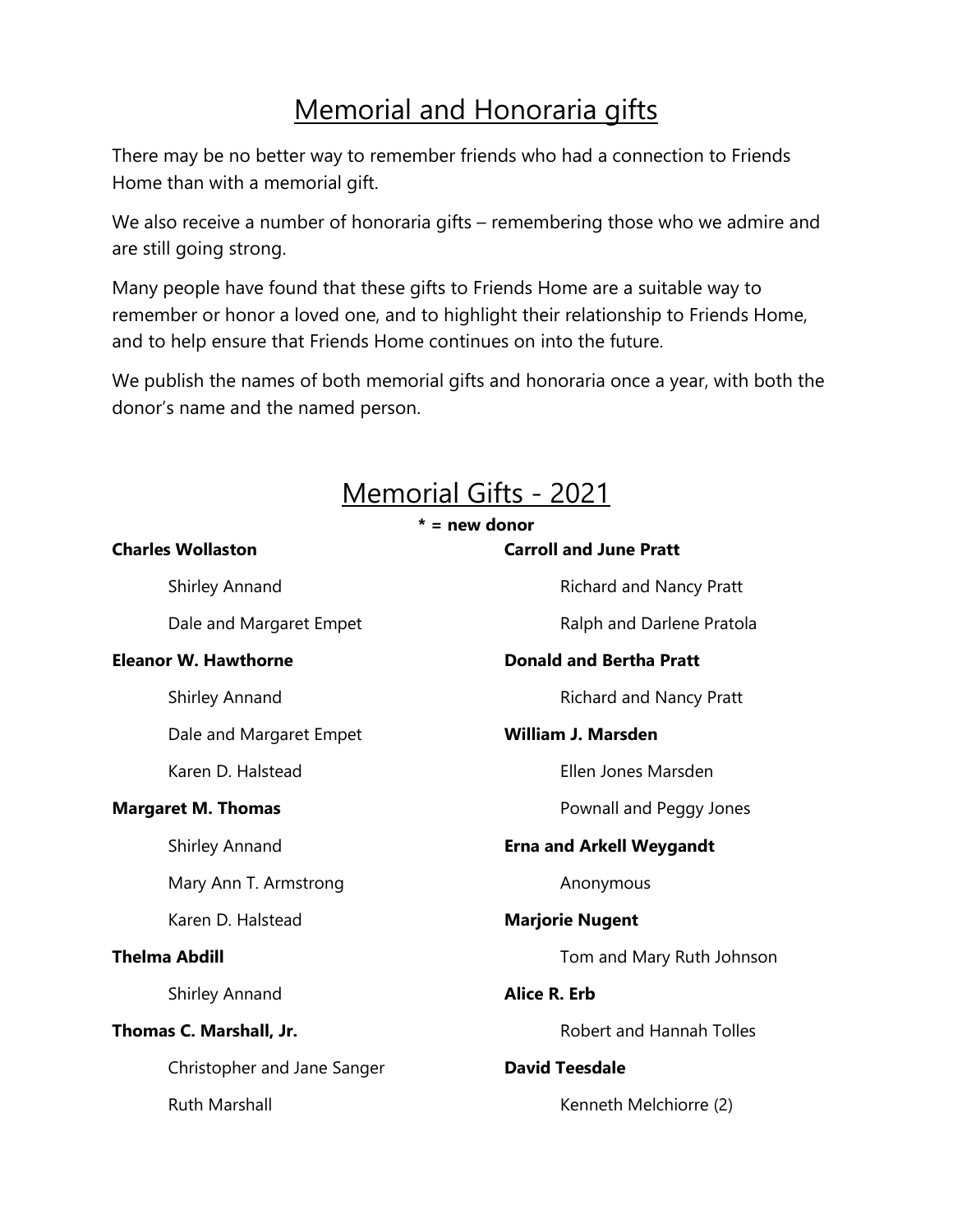## Memorial and Honoraria gifts

There may be no better way to remember friends who had a connection to Friends Home than with a memorial gift.

We also receive a number of honoraria gifts – remembering those who we admire and are still going strong.

Many people have found that these gifts to Friends Home are a suitable way to remember or honor a loved one, and to highlight their relationship to Friends Home, and to help ensure that Friends Home continues on into the future.

We publish the names of both memorial gifts and honoraria once a year, with both the donor's name and the named person.

## Memorial Gifts - 2021

## **\* = new donor**

## **Charles Wollaston**  Shirley Annand Dale and Margaret Empet **Eleanor W. Hawthorne**  Shirley Annand Dale and Margaret Empet Karen D. Halstead **Margaret M. Thomas**  Shirley Annand Mary Ann T. Armstrong Karen D. Halstead **Thelma Abdill** Shirley Annand **Thomas C. Marshall, Jr.** Christopher and Jane Sanger Ruth Marshall **Carroll and June Pratt** Richard and Nancy Pratt Ralph and Darlene Pratola **Donald and Bertha Pratt** Richard and Nancy Pratt **William J. Marsden** Ellen Jones Marsden Pownall and Peggy Jones **Erna and Arkell Weygandt** Anonymous **Marjorie Nugent** Tom and Mary Ruth Johnson **Alice R. Erb** Robert and Hannah Tolles **David Teesdale** Kenneth Melchiorre (2)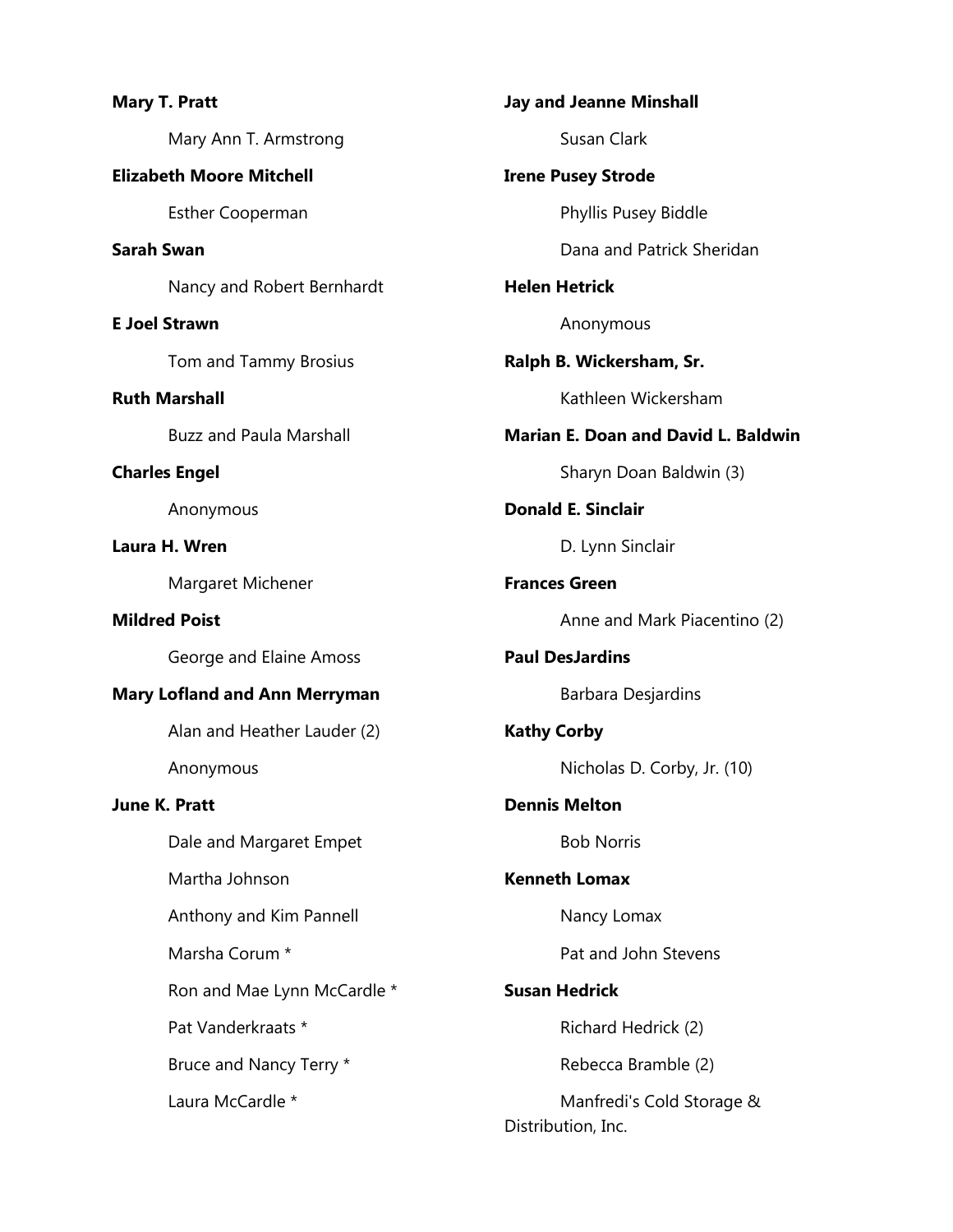|                                      | <b>Mary T. Pratt</b>            |  |
|--------------------------------------|---------------------------------|--|
|                                      | Mary Ann T. Armstrong           |  |
|                                      | <b>Elizabeth Moore Mitchell</b> |  |
|                                      | <b>Esther Cooperman</b>         |  |
| <b>Sarah Swan</b>                    |                                 |  |
|                                      | Nancy and Robert Bernhardt      |  |
|                                      | <b>E Joel Strawn</b>            |  |
|                                      | Tom and Tammy Brosius           |  |
|                                      | <b>Ruth Marshall</b>            |  |
|                                      | <b>Buzz and Paula Marshall</b>  |  |
|                                      | <b>Charles Engel</b>            |  |
|                                      | Anonymous                       |  |
|                                      | Laura H. Wren                   |  |
|                                      | Margaret Michener               |  |
|                                      | <b>Mildred Poist</b>            |  |
|                                      | George and Elaine Amoss         |  |
| <b>Mary Lofland and Ann Merryman</b> |                                 |  |
|                                      | Alan and Heather Lauder (2)     |  |
|                                      | Anonymous                       |  |
| <b>June K. Pratt</b>                 |                                 |  |
|                                      | Dale and Margaret Empet         |  |
|                                      | Martha Johnson                  |  |
|                                      | Anthony and Kim Pannell         |  |
|                                      | Marsha Corum *                  |  |
|                                      | Ron and Mae Lynn McCardle *     |  |
|                                      | Pat Vanderkraats *              |  |
|                                      | Bruce and Nancy Terry *         |  |
|                                      | Laura McCardle *                |  |
|                                      |                                 |  |

**Jay and Jeanne Minshall** Susan Clark **Irene Pusey Strode** Phyllis Pusey Biddle Dana and Patrick Sheridan **Helen Hetrick** Anonymous **Ralph B. Wickersham, Sr.** Kathleen Wickersham **Marian E. Doan and David L. Baldwin** Sharyn Doan Baldwin (3) **Donald E. Sinclair** D. Lynn Sinclair **Frances Green** Anne and Mark Piacentino (2) **Paul DesJardins** Barbara Desjardins **Kathy Corby** Nicholas D. Corby, Jr. (10) **Dennis Melton** Bob Norris **Kenneth Lomax** Nancy Lomax Pat and John Stevens **Susan Hedrick** Richard Hedrick (2) Rebecca Bramble (2) Manfredi's Cold Storage & Distribution, Inc.